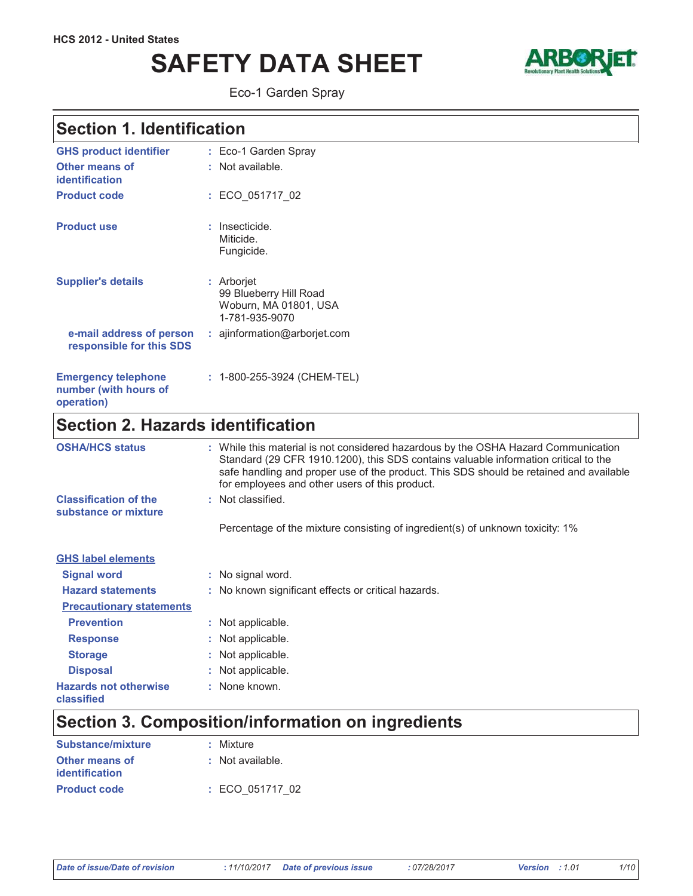# **SAFETY DATA SHEET**



Eco-1 Garden Spray

## Section 1. Identification

| <b>GHS product identifier</b>                                     | : Eco-1 Garden Spray                                                            |
|-------------------------------------------------------------------|---------------------------------------------------------------------------------|
| Other means of<br>identification                                  | : Not available.                                                                |
| <b>Product code</b>                                               | : ECO 051717 02                                                                 |
| <b>Product use</b>                                                | : Insecticide.<br>Miticide.<br>Fungicide.                                       |
| <b>Supplier's details</b>                                         | : Arborjet<br>99 Blueberry Hill Road<br>Woburn, MA 01801, USA<br>1-781-935-9070 |
| e-mail address of person<br>responsible for this SDS              | : ajinformation@arborjet.com                                                    |
| <b>Emergency telephone</b><br>number (with hours of<br>operation) | : 1-800-255-3924 (CHEM-TEL)                                                     |

## Section 2. Hazards identification

| <b>OSHA/HCS status</b>                               | : While this material is not considered hazardous by the OSHA Hazard Communication<br>Standard (29 CFR 1910.1200), this SDS contains valuable information critical to the<br>safe handling and proper use of the product. This SDS should be retained and available<br>for employees and other users of this product. |
|------------------------------------------------------|-----------------------------------------------------------------------------------------------------------------------------------------------------------------------------------------------------------------------------------------------------------------------------------------------------------------------|
| <b>Classification of the</b><br>substance or mixture | : Not classified.                                                                                                                                                                                                                                                                                                     |
|                                                      | Percentage of the mixture consisting of ingredient(s) of unknown toxicity: 1%                                                                                                                                                                                                                                         |
| <b>GHS label elements</b>                            |                                                                                                                                                                                                                                                                                                                       |
| <b>Signal word</b>                                   | : No signal word.                                                                                                                                                                                                                                                                                                     |
| <b>Hazard statements</b>                             | : No known significant effects or critical hazards.                                                                                                                                                                                                                                                                   |
| <b>Precautionary statements</b>                      |                                                                                                                                                                                                                                                                                                                       |
| <b>Prevention</b>                                    | : Not applicable.                                                                                                                                                                                                                                                                                                     |
| <b>Response</b>                                      | : Not applicable.                                                                                                                                                                                                                                                                                                     |
| <b>Storage</b>                                       | : Not applicable.                                                                                                                                                                                                                                                                                                     |
| <b>Disposal</b>                                      | : Not applicable.                                                                                                                                                                                                                                                                                                     |
| <b>Hazards not otherwise</b><br><b>classified</b>    | : None known.                                                                                                                                                                                                                                                                                                         |

## Section 3. Composition/information on ingredients

| Substance/mixture   | : Mixture        |
|---------------------|------------------|
| Other means of      | : Not available. |
| identification      |                  |
| <b>Product code</b> | : ECO 051717 02  |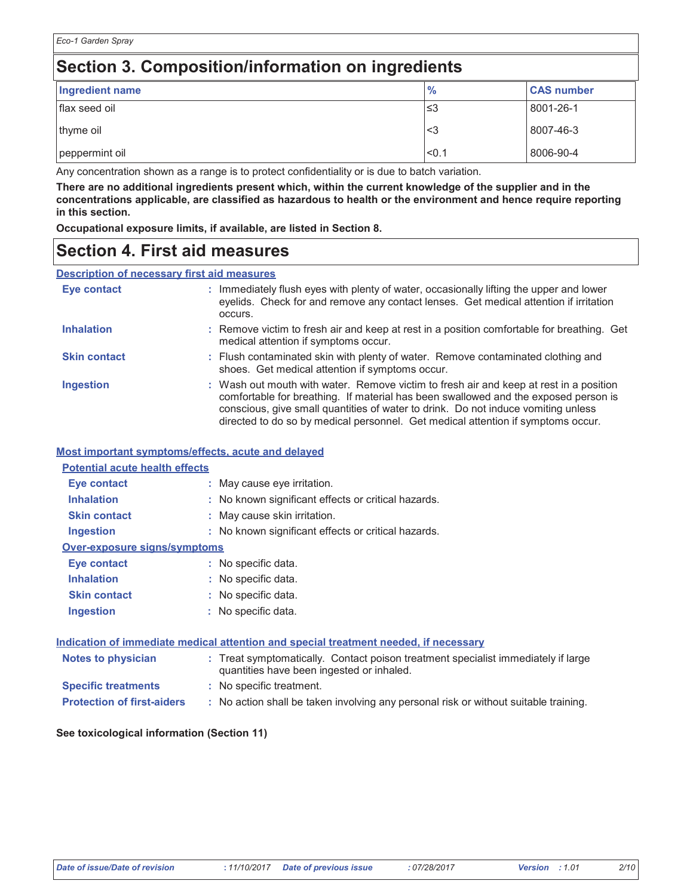## Section 3. Composition/information on ingredients

| Ingredient name | $\frac{9}{6}$ | <b>CAS number</b> |
|-----------------|---------------|-------------------|
| flax seed oil   | '≤3           | 8001-26-1         |
| thyme oil       | ∣<3           | 8007-46-3         |
| peppermint oil  | < 0.1         | 8006-90-4         |

Any concentration shown as a range is to protect confidentiality or is due to batch variation.

There are no additional ingredients present which, within the current knowledge of the supplier and in the concentrations applicable, are classified as hazardous to health or the environment and hence require reporting in this section.

Occupational exposure limits, if available, are listed in Section 8.

### **Section 4. First aid measures**

**Description of necessary first aid measures** 

| Eye contact         | : Immediately flush eyes with plenty of water, occasionally lifting the upper and lower<br>eyelids. Check for and remove any contact lenses. Get medical attention if irritation<br>occurs.                                                                                                                                                            |
|---------------------|--------------------------------------------------------------------------------------------------------------------------------------------------------------------------------------------------------------------------------------------------------------------------------------------------------------------------------------------------------|
| <b>Inhalation</b>   | : Remove victim to fresh air and keep at rest in a position comfortable for breathing. Get<br>medical attention if symptoms occur.                                                                                                                                                                                                                     |
| <b>Skin contact</b> | : Flush contaminated skin with plenty of water. Remove contaminated clothing and<br>shoes. Get medical attention if symptoms occur.                                                                                                                                                                                                                    |
| <b>Ingestion</b>    | : Wash out mouth with water. Remove victim to fresh air and keep at rest in a position<br>comfortable for breathing. If material has been swallowed and the exposed person is<br>conscious, give small quantities of water to drink. Do not induce vomiting unless<br>directed to do so by medical personnel. Get medical attention if symptoms occur. |

#### Most important symptoms/effects, acute and delayed

| <b>Potential acute health effects</b> |  |                                                     |  |
|---------------------------------------|--|-----------------------------------------------------|--|
| Eye contact                           |  | : May cause eye irritation.                         |  |
| <b>Inhalation</b>                     |  | : No known significant effects or critical hazards. |  |
| <b>Skin contact</b>                   |  | : May cause skin irritation.                        |  |
| <b>Ingestion</b>                      |  | : No known significant effects or critical hazards. |  |
| <b>Over-exposure signs/symptoms</b>   |  |                                                     |  |
| Eye contact                           |  | : No specific data.                                 |  |
| <b>Inhalation</b>                     |  | : No specific data.                                 |  |
| <b>Skin contact</b>                   |  | : No specific data.                                 |  |
| Ingestion                             |  | : No specific data.                                 |  |
|                                       |  |                                                     |  |

#### Indication of immediate medical attention and special treatment needed, if necessary

| Notes to physician                | : Treat symptomatically. Contact poison treatment specialist immediately if large<br>quantities have been ingested or inhaled. |
|-----------------------------------|--------------------------------------------------------------------------------------------------------------------------------|
| <b>Specific treatments</b>        | : No specific treatment.                                                                                                       |
| <b>Protection of first-aiders</b> | : No action shall be taken involving any personal risk or without suitable training.                                           |

#### See toxicological information (Section 11)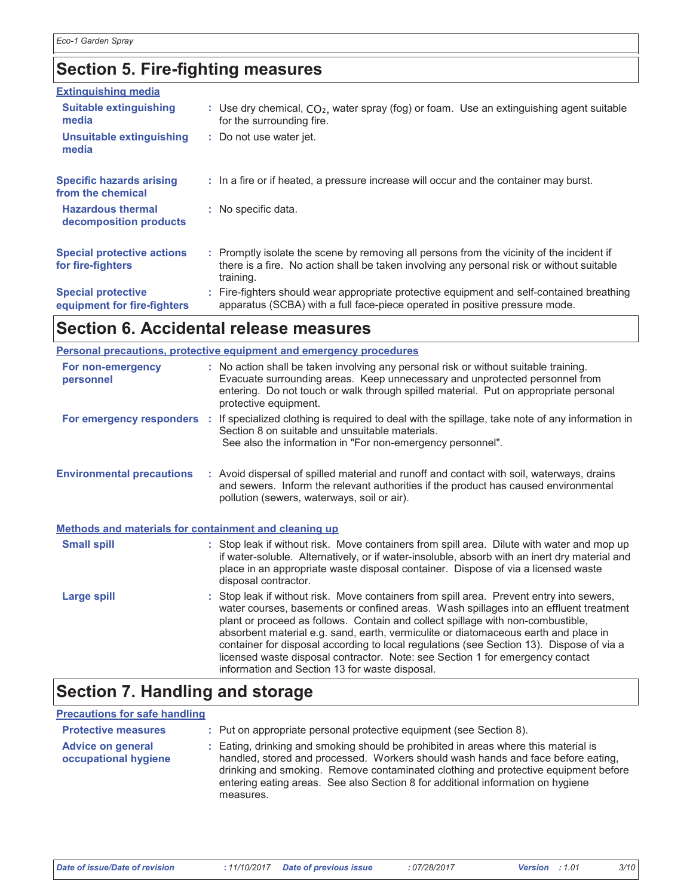## **Section 5. Fire-fighting measures**

| <b>Extinguishing media</b>                               |                                                                                                                                                                                                     |
|----------------------------------------------------------|-----------------------------------------------------------------------------------------------------------------------------------------------------------------------------------------------------|
| <b>Suitable extinguishing</b><br>media                   | : Use dry chemical, $CO2$ , water spray (fog) or foam. Use an extinguishing agent suitable<br>for the surrounding fire.                                                                             |
| <b>Unsuitable extinguishing</b><br>media                 | : Do not use water jet.                                                                                                                                                                             |
| <b>Specific hazards arising</b><br>from the chemical     | : In a fire or if heated, a pressure increase will occur and the container may burst.                                                                                                               |
| <b>Hazardous thermal</b><br>decomposition products       | : No specific data.                                                                                                                                                                                 |
| <b>Special protective actions</b><br>for fire-fighters   | : Promptly isolate the scene by removing all persons from the vicinity of the incident if<br>there is a fire. No action shall be taken involving any personal risk or without suitable<br>training. |
| <b>Special protective</b><br>equipment for fire-fighters | : Fire-fighters should wear appropriate protective equipment and self-contained breathing<br>apparatus (SCBA) with a full face-piece operated in positive pressure mode.                            |

## Section 6. Accidental release measures

|                                                       | <b>Personal precautions, protective equipment and emergency procedures</b>                                                                                                                                                                                                                                                                                                                                                                                                                                                                                                                |
|-------------------------------------------------------|-------------------------------------------------------------------------------------------------------------------------------------------------------------------------------------------------------------------------------------------------------------------------------------------------------------------------------------------------------------------------------------------------------------------------------------------------------------------------------------------------------------------------------------------------------------------------------------------|
| For non-emergency<br>personnel                        | : No action shall be taken involving any personal risk or without suitable training.<br>Evacuate surrounding areas. Keep unnecessary and unprotected personnel from<br>entering. Do not touch or walk through spilled material. Put on appropriate personal<br>protective equipment.                                                                                                                                                                                                                                                                                                      |
|                                                       | For emergency responders : If specialized clothing is required to deal with the spillage, take note of any information in<br>Section 8 on suitable and unsuitable materials.<br>See also the information in "For non-emergency personnel".                                                                                                                                                                                                                                                                                                                                                |
| <b>Environmental precautions</b>                      | : Avoid dispersal of spilled material and runoff and contact with soil, waterways, drains<br>and sewers. Inform the relevant authorities if the product has caused environmental<br>pollution (sewers, waterways, soil or air).                                                                                                                                                                                                                                                                                                                                                           |
| Methods and materials for containment and cleaning up |                                                                                                                                                                                                                                                                                                                                                                                                                                                                                                                                                                                           |
| <b>Small spill</b>                                    | : Stop leak if without risk. Move containers from spill area. Dilute with water and mop up<br>if water-soluble. Alternatively, or if water-insoluble, absorb with an inert dry material and<br>place in an appropriate waste disposal container. Dispose of via a licensed waste<br>disposal contractor.                                                                                                                                                                                                                                                                                  |
| <b>Large spill</b>                                    | : Stop leak if without risk. Move containers from spill area. Prevent entry into sewers,<br>water courses, basements or confined areas. Wash spillages into an effluent treatment<br>plant or proceed as follows. Contain and collect spillage with non-combustible,<br>absorbent material e.g. sand, earth, vermiculite or diatomaceous earth and place in<br>container for disposal according to local regulations (see Section 13). Dispose of via a<br>licensed waste disposal contractor. Note: see Section 1 for emergency contact<br>information and Section 13 for waste disposal |

## **Section 7. Handling and storage**

#### **Precautions for safe handling**

| <b>Protective measures</b>                       | : Put on appropriate personal protective equipment (see Section 8).                                                                                                                                                                                                                                                                                           |
|--------------------------------------------------|---------------------------------------------------------------------------------------------------------------------------------------------------------------------------------------------------------------------------------------------------------------------------------------------------------------------------------------------------------------|
| <b>Advice on general</b><br>occupational hygiene | : Eating, drinking and smoking should be prohibited in areas where this material is<br>handled, stored and processed. Workers should wash hands and face before eating,<br>drinking and smoking. Remove contaminated clothing and protective equipment before<br>entering eating areas. See also Section 8 for additional information on hygiene<br>measures. |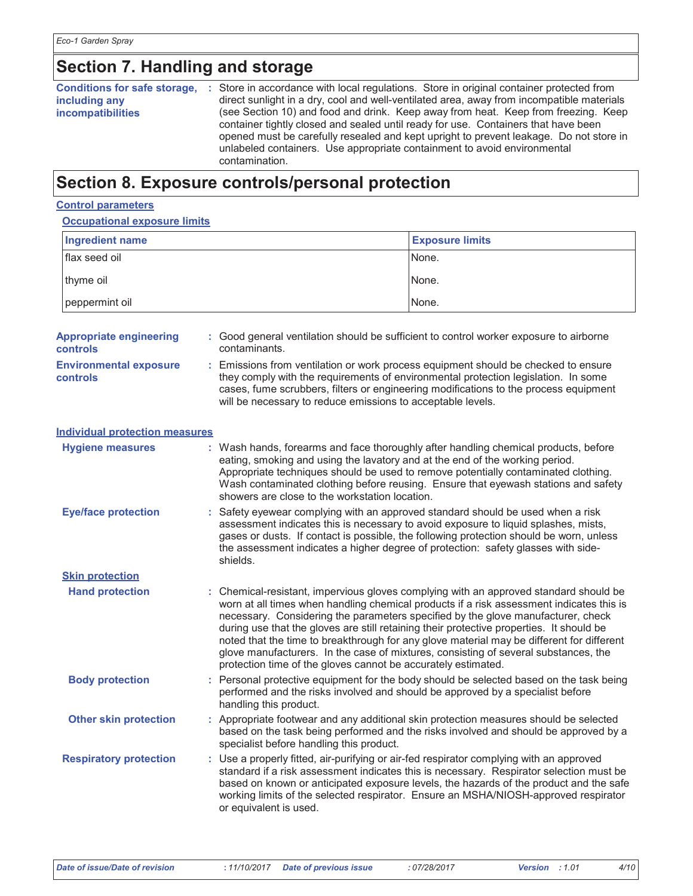## **Section 7. Handling and storage**

| <b>Conditions for safe storage,</b><br>including any<br><b>incompatibilities</b> | Store in accordance with local regulations. Store in original container protected from<br>direct sunlight in a dry, cool and well-ventilated area, away from incompatible materials<br>(see Section 10) and food and drink. Keep away from heat. Keep from freezing. Keep<br>container tightly closed and sealed until ready for use. Containers that have been<br>opened must be carefully resealed and kept upright to prevent leakage. Do not store in<br>unlabeled containers. Use appropriate containment to avoid environmental<br>contamination. |
|----------------------------------------------------------------------------------|---------------------------------------------------------------------------------------------------------------------------------------------------------------------------------------------------------------------------------------------------------------------------------------------------------------------------------------------------------------------------------------------------------------------------------------------------------------------------------------------------------------------------------------------------------|
|----------------------------------------------------------------------------------|---------------------------------------------------------------------------------------------------------------------------------------------------------------------------------------------------------------------------------------------------------------------------------------------------------------------------------------------------------------------------------------------------------------------------------------------------------------------------------------------------------------------------------------------------------|

### Section 8. Exposure controls/personal protection

#### **Control parameters**

Occupational exposure limits

| oooddaan canoodd amnuu                            |                                          |                                                                                                                                                                                                                                                                                                                                                                                                                                                                                                                                                                                                                        |
|---------------------------------------------------|------------------------------------------|------------------------------------------------------------------------------------------------------------------------------------------------------------------------------------------------------------------------------------------------------------------------------------------------------------------------------------------------------------------------------------------------------------------------------------------------------------------------------------------------------------------------------------------------------------------------------------------------------------------------|
| <b>Ingredient name</b>                            |                                          | <b>Exposure limits</b>                                                                                                                                                                                                                                                                                                                                                                                                                                                                                                                                                                                                 |
| flax seed oil                                     |                                          | None.                                                                                                                                                                                                                                                                                                                                                                                                                                                                                                                                                                                                                  |
| thyme oil                                         |                                          | None.                                                                                                                                                                                                                                                                                                                                                                                                                                                                                                                                                                                                                  |
| peppermint oil                                    |                                          | None.                                                                                                                                                                                                                                                                                                                                                                                                                                                                                                                                                                                                                  |
| <b>Appropriate engineering</b><br><b>controls</b> | contaminants.                            | : Good general ventilation should be sufficient to control worker exposure to airborne                                                                                                                                                                                                                                                                                                                                                                                                                                                                                                                                 |
| <b>Environmental exposure</b><br><b>controls</b>  |                                          | : Emissions from ventilation or work process equipment should be checked to ensure<br>they comply with the requirements of environmental protection legislation. In some<br>cases, fume scrubbers, filters or engineering modifications to the process equipment<br>will be necessary to reduce emissions to acceptable levels.                                                                                                                                                                                                                                                                                        |
| <b>Individual protection measures</b>             |                                          |                                                                                                                                                                                                                                                                                                                                                                                                                                                                                                                                                                                                                        |
| <b>Hygiene measures</b>                           |                                          | : Wash hands, forearms and face thoroughly after handling chemical products, before<br>eating, smoking and using the lavatory and at the end of the working period.<br>Appropriate techniques should be used to remove potentially contaminated clothing.<br>Wash contaminated clothing before reusing. Ensure that eyewash stations and safety<br>showers are close to the workstation location.                                                                                                                                                                                                                      |
| <b>Eye/face protection</b>                        | shields.                                 | : Safety eyewear complying with an approved standard should be used when a risk<br>assessment indicates this is necessary to avoid exposure to liquid splashes, mists,<br>gases or dusts. If contact is possible, the following protection should be worn, unless<br>the assessment indicates a higher degree of protection: safety glasses with side-                                                                                                                                                                                                                                                                 |
| <b>Skin protection</b>                            |                                          |                                                                                                                                                                                                                                                                                                                                                                                                                                                                                                                                                                                                                        |
| <b>Hand protection</b>                            |                                          | : Chemical-resistant, impervious gloves complying with an approved standard should be<br>worn at all times when handling chemical products if a risk assessment indicates this is<br>necessary. Considering the parameters specified by the glove manufacturer, check<br>during use that the gloves are still retaining their protective properties. It should be<br>noted that the time to breakthrough for any glove material may be different for different<br>glove manufacturers. In the case of mixtures, consisting of several substances, the<br>protection time of the gloves cannot be accurately estimated. |
| <b>Body protection</b>                            | handling this product.                   | : Personal protective equipment for the body should be selected based on the task being<br>performed and the risks involved and should be approved by a specialist before                                                                                                                                                                                                                                                                                                                                                                                                                                              |
| <b>Other skin protection</b>                      | specialist before handling this product. | : Appropriate footwear and any additional skin protection measures should be selected<br>based on the task being performed and the risks involved and should be approved by a                                                                                                                                                                                                                                                                                                                                                                                                                                          |
| <b>Respiratory protection</b>                     | or equivalent is used.                   | : Use a properly fitted, air-purifying or air-fed respirator complying with an approved<br>standard if a risk assessment indicates this is necessary. Respirator selection must be<br>based on known or anticipated exposure levels, the hazards of the product and the safe<br>working limits of the selected respirator. Ensure an MSHA/NIOSH-approved respirator                                                                                                                                                                                                                                                    |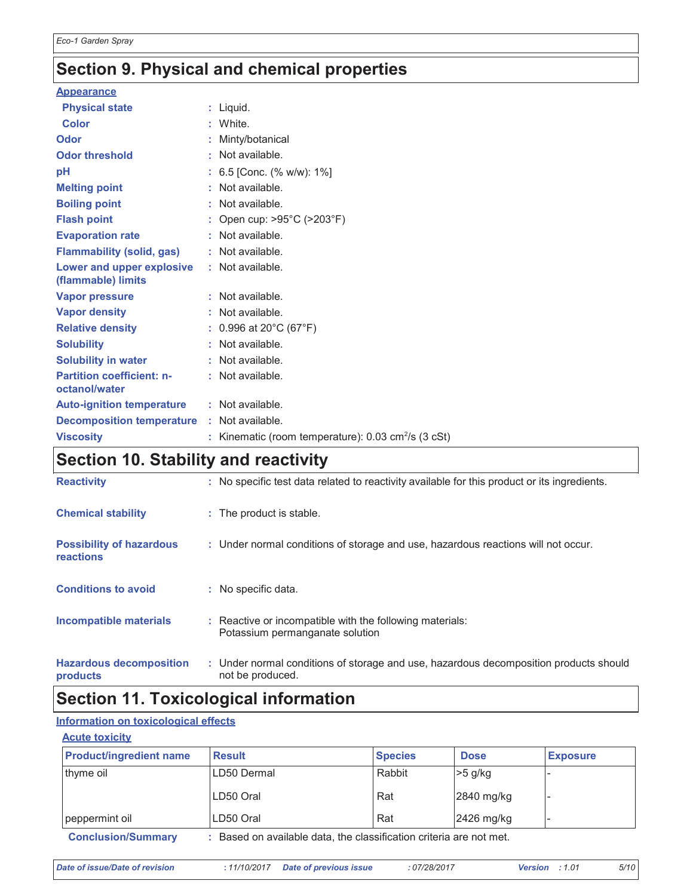## Section 9. Physical and chemical properties

| <b>Physical state</b><br>: Liquid.<br>Color<br>: White.<br>Odor<br>: Minty/botanical<br>: Not available.<br><b>Odor threshold</b><br>pH<br>: 6.5 [Conc. (% w/w): $1\%$ ]<br><b>Melting point</b><br>: Not available.<br><b>Boiling point</b><br>: Not available.<br><b>Flash point</b><br>: Open cup: $>95^{\circ}$ C ( $>203^{\circ}$ F)<br>: Not available.<br><b>Evaporation rate</b><br><b>Flammability (solid, gas)</b><br>: Not available.<br>Lower and upper explosive<br>: Not available.<br>(flammable) limits<br>: Not available.<br>Vapor pressure<br><b>Vapor density</b><br>: Not available.<br><b>Relative density</b><br>: $0.996$ at 20 $^{\circ}$ C (67 $^{\circ}$ F)<br>: Not available.<br><b>Solubility</b><br><b>Solubility in water</b><br>: Not available.<br><b>Partition coefficient: n-</b><br>: Not available.<br>octanol/water<br><b>Auto-ignition temperature</b><br>: Not available.<br><b>Decomposition temperature</b><br>: Not available.<br><b>Viscosity</b><br>Kinematic (room temperature): $0.03 \text{ cm}^2/\text{s}$ (3 cSt) | <b>Appearance</b> |  |
|----------------------------------------------------------------------------------------------------------------------------------------------------------------------------------------------------------------------------------------------------------------------------------------------------------------------------------------------------------------------------------------------------------------------------------------------------------------------------------------------------------------------------------------------------------------------------------------------------------------------------------------------------------------------------------------------------------------------------------------------------------------------------------------------------------------------------------------------------------------------------------------------------------------------------------------------------------------------------------------------------------------------------------------------------------------------|-------------------|--|
|                                                                                                                                                                                                                                                                                                                                                                                                                                                                                                                                                                                                                                                                                                                                                                                                                                                                                                                                                                                                                                                                      |                   |  |
|                                                                                                                                                                                                                                                                                                                                                                                                                                                                                                                                                                                                                                                                                                                                                                                                                                                                                                                                                                                                                                                                      |                   |  |
|                                                                                                                                                                                                                                                                                                                                                                                                                                                                                                                                                                                                                                                                                                                                                                                                                                                                                                                                                                                                                                                                      |                   |  |
|                                                                                                                                                                                                                                                                                                                                                                                                                                                                                                                                                                                                                                                                                                                                                                                                                                                                                                                                                                                                                                                                      |                   |  |
|                                                                                                                                                                                                                                                                                                                                                                                                                                                                                                                                                                                                                                                                                                                                                                                                                                                                                                                                                                                                                                                                      |                   |  |
|                                                                                                                                                                                                                                                                                                                                                                                                                                                                                                                                                                                                                                                                                                                                                                                                                                                                                                                                                                                                                                                                      |                   |  |
|                                                                                                                                                                                                                                                                                                                                                                                                                                                                                                                                                                                                                                                                                                                                                                                                                                                                                                                                                                                                                                                                      |                   |  |
|                                                                                                                                                                                                                                                                                                                                                                                                                                                                                                                                                                                                                                                                                                                                                                                                                                                                                                                                                                                                                                                                      |                   |  |
|                                                                                                                                                                                                                                                                                                                                                                                                                                                                                                                                                                                                                                                                                                                                                                                                                                                                                                                                                                                                                                                                      |                   |  |
|                                                                                                                                                                                                                                                                                                                                                                                                                                                                                                                                                                                                                                                                                                                                                                                                                                                                                                                                                                                                                                                                      |                   |  |
|                                                                                                                                                                                                                                                                                                                                                                                                                                                                                                                                                                                                                                                                                                                                                                                                                                                                                                                                                                                                                                                                      |                   |  |
|                                                                                                                                                                                                                                                                                                                                                                                                                                                                                                                                                                                                                                                                                                                                                                                                                                                                                                                                                                                                                                                                      |                   |  |
|                                                                                                                                                                                                                                                                                                                                                                                                                                                                                                                                                                                                                                                                                                                                                                                                                                                                                                                                                                                                                                                                      |                   |  |
|                                                                                                                                                                                                                                                                                                                                                                                                                                                                                                                                                                                                                                                                                                                                                                                                                                                                                                                                                                                                                                                                      |                   |  |
|                                                                                                                                                                                                                                                                                                                                                                                                                                                                                                                                                                                                                                                                                                                                                                                                                                                                                                                                                                                                                                                                      |                   |  |
|                                                                                                                                                                                                                                                                                                                                                                                                                                                                                                                                                                                                                                                                                                                                                                                                                                                                                                                                                                                                                                                                      |                   |  |
|                                                                                                                                                                                                                                                                                                                                                                                                                                                                                                                                                                                                                                                                                                                                                                                                                                                                                                                                                                                                                                                                      |                   |  |
|                                                                                                                                                                                                                                                                                                                                                                                                                                                                                                                                                                                                                                                                                                                                                                                                                                                                                                                                                                                                                                                                      |                   |  |
|                                                                                                                                                                                                                                                                                                                                                                                                                                                                                                                                                                                                                                                                                                                                                                                                                                                                                                                                                                                                                                                                      |                   |  |
|                                                                                                                                                                                                                                                                                                                                                                                                                                                                                                                                                                                                                                                                                                                                                                                                                                                                                                                                                                                                                                                                      |                   |  |

## Section 10. Stability and reactivity

| <b>Reactivity</b>                            | : No specific test data related to reactivity available for this product or its ingredients.              |
|----------------------------------------------|-----------------------------------------------------------------------------------------------------------|
| <b>Chemical stability</b>                    | : The product is stable.                                                                                  |
| <b>Possibility of hazardous</b><br>reactions | : Under normal conditions of storage and use, hazardous reactions will not occur.                         |
| <b>Conditions to avoid</b>                   | : No specific data.                                                                                       |
| Incompatible materials                       | : Reactive or incompatible with the following materials:<br>Potassium permanganate solution               |
| <b>Hazardous decomposition</b><br>products   | : Under normal conditions of storage and use, hazardous decomposition products should<br>not be produced. |

### **Section 11. Toxicological information**

#### Information on toxicological effects

#### **Acute toxicity**

| <b>Product/ingredient name</b> | <b>Result</b>                                                   | <b>Species</b> | <b>Dose</b> | <b>Exposure</b>          |
|--------------------------------|-----------------------------------------------------------------|----------------|-------------|--------------------------|
| thyme oil                      | LD50 Dermal                                                     | Rabbit         | -5 g/kg     | $\overline{\phantom{0}}$ |
|                                | LD50 Oral                                                       | Rat            | 2840 mg/kg  |                          |
| peppermint oil                 | LD50 Oral                                                       | Rat            | 2426 mg/kg  |                          |
| <b>Conclusion/Summary</b>      | Based on available data the classification criteria are not met |                |             |                          |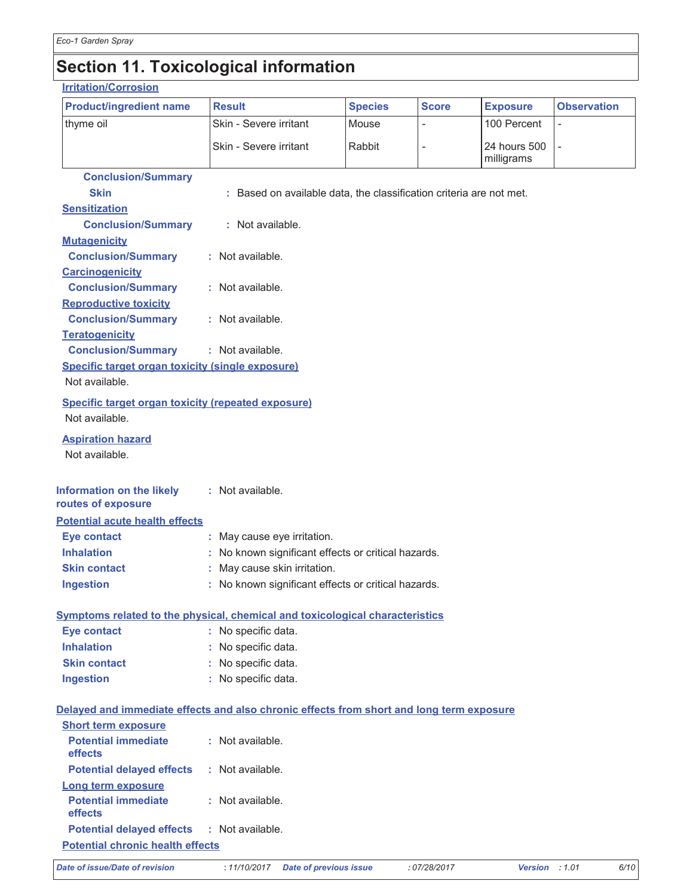## Section 11. Toxicological information

#### **Irritation/Corrosion**

| <b>Product/ingredient name</b>                                                           | <b>Result</b>                                                       | <b>Species</b> | <b>Score</b>   | <b>Exposure</b>            | <b>Observation</b> |
|------------------------------------------------------------------------------------------|---------------------------------------------------------------------|----------------|----------------|----------------------------|--------------------|
| thyme oil                                                                                | Skin - Severe irritant                                              | Mouse          | $\overline{a}$ | 100 Percent                | $\qquad \qquad -$  |
|                                                                                          | Skin - Severe irritant                                              | Rabbit         |                | 24 hours 500<br>milligrams |                    |
| <b>Conclusion/Summary</b><br><b>Skin</b><br><b>Sensitization</b>                         | : Based on available data, the classification criteria are not met. |                |                |                            |                    |
| <b>Conclusion/Summary</b>                                                                | : Not available.                                                    |                |                |                            |                    |
| <b>Mutagenicity</b><br><b>Conclusion/Summary</b>                                         | : Not available.                                                    |                |                |                            |                    |
| <b>Carcinogenicity</b><br><b>Conclusion/Summary</b>                                      | : Not available.                                                    |                |                |                            |                    |
| <b>Reproductive toxicity</b><br><b>Conclusion/Summary</b><br><b>Teratogenicity</b>       | : Not available.                                                    |                |                |                            |                    |
| <b>Conclusion/Summary</b>                                                                | : Not available.                                                    |                |                |                            |                    |
| Specific target organ toxicity (single exposure)                                         |                                                                     |                |                |                            |                    |
| Not available.                                                                           |                                                                     |                |                |                            |                    |
| <b>Specific target organ toxicity (repeated exposure)</b><br>Not available.              |                                                                     |                |                |                            |                    |
| <b>Aspiration hazard</b><br>Not available.                                               |                                                                     |                |                |                            |                    |
| Information on the likely<br>routes of exposure                                          | : Not available.                                                    |                |                |                            |                    |
| <b>Potential acute health effects</b>                                                    |                                                                     |                |                |                            |                    |
| <b>Eye contact</b>                                                                       | : May cause eye irritation.                                         |                |                |                            |                    |
| <b>Inhalation</b>                                                                        | : No known significant effects or critical hazards.                 |                |                |                            |                    |
| <b>Skin contact</b>                                                                      | : May cause skin irritation.                                        |                |                |                            |                    |
| <b>Ingestion</b>                                                                         | : No known significant effects or critical hazards.                 |                |                |                            |                    |
| Symptoms related to the physical, chemical and toxicological characteristics             |                                                                     |                |                |                            |                    |
| <b>Eye contact</b>                                                                       | : No specific data.                                                 |                |                |                            |                    |
| <b>Inhalation</b>                                                                        | : No specific data.                                                 |                |                |                            |                    |
| <b>Skin contact</b>                                                                      | : No specific data.                                                 |                |                |                            |                    |
| <b>Ingestion</b>                                                                         | : No specific data.                                                 |                |                |                            |                    |
| Delayed and immediate effects and also chronic effects from short and long term exposure |                                                                     |                |                |                            |                    |
| <b>Short term exposure</b>                                                               |                                                                     |                |                |                            |                    |
| <b>Potential immediate</b><br>effects                                                    | : Not available.                                                    |                |                |                            |                    |
| <b>Potential delayed effects</b>                                                         | : Not available.                                                    |                |                |                            |                    |
| Long term exposure                                                                       |                                                                     |                |                |                            |                    |
| <b>Potential immediate</b><br>effects                                                    | : Not available.                                                    |                |                |                            |                    |
| <b>Potential delayed effects</b>                                                         | : Not available.                                                    |                |                |                            |                    |
| <b>Potential chronic health effects</b>                                                  |                                                                     |                |                |                            |                    |
| Date of issue/Date of revision                                                           | : 11/10/2017<br><b>Date of previous issue</b>                       |                | : 07/28/2017   | Version : 1.01             | 6/10               |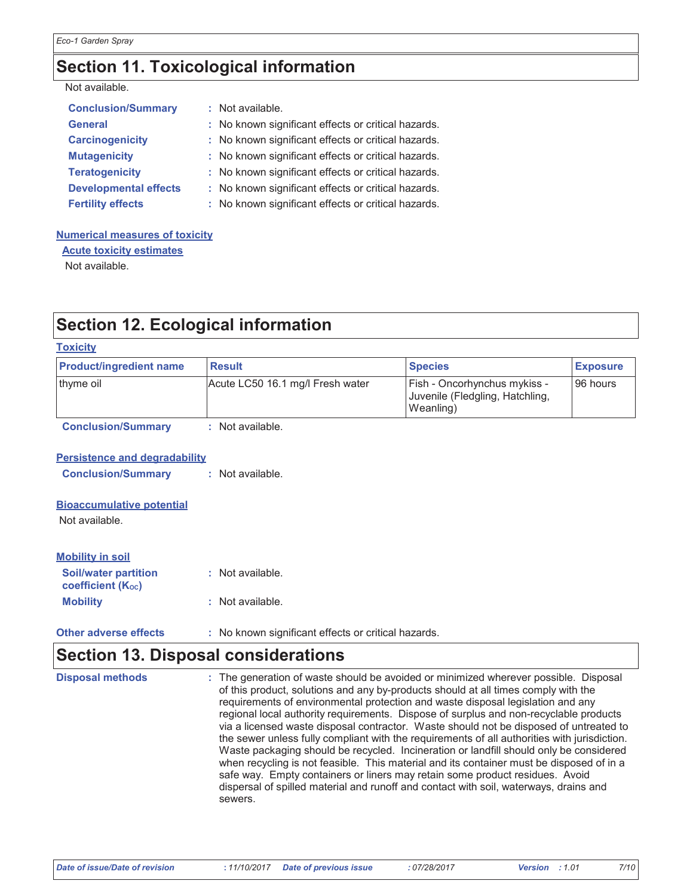## **Section 11. Toxicological information**

|  | Not available. |
|--|----------------|
|  |                |

| <b>Conclusion/Summary</b>    | : Not available.                                    |
|------------------------------|-----------------------------------------------------|
| <b>General</b>               | : No known significant effects or critical hazards. |
| <b>Carcinogenicity</b>       | : No known significant effects or critical hazards. |
| <b>Mutagenicity</b>          | : No known significant effects or critical hazards. |
| <b>Teratogenicity</b>        | : No known significant effects or critical hazards. |
| <b>Developmental effects</b> | : No known significant effects or critical hazards. |
| <b>Fertility effects</b>     | : No known significant effects or critical hazards. |

#### **Numerical measures of toxicity**

**Acute toxicity estimates** Not available.

## **Section 12. Ecological information**

| <b>Toxicity</b>                                         |                                  |                                                                              |                 |
|---------------------------------------------------------|----------------------------------|------------------------------------------------------------------------------|-----------------|
| <b>Product/ingredient name</b>                          | <b>Result</b>                    | <b>Species</b>                                                               | <b>Exposure</b> |
| thyme oil                                               | Acute LC50 16.1 mg/l Fresh water | Fish - Oncorhynchus mykiss -<br>Juvenile (Fledgling, Hatchling,<br>Weanling) | 96 hours        |
| <b>Conclusion/Summary</b>                               | : Not available.                 |                                                                              |                 |
| <b>Persistence and degradability</b>                    |                                  |                                                                              |                 |
| <b>Conclusion/Summary</b>                               | : Not available.                 |                                                                              |                 |
| <b>Bioaccumulative potential</b><br>Not available.      |                                  |                                                                              |                 |
|                                                         |                                  |                                                                              |                 |
| <b>Mobility in soil</b>                                 |                                  |                                                                              |                 |
| <b>Soil/water partition</b><br><b>coefficient (Koc)</b> | : Not available.                 |                                                                              |                 |
| <b>Mobility</b>                                         | : Not available.                 |                                                                              |                 |

#### **Other adverse effects** : No known significant effects or critical hazards.

#### **Section 13. Disposal considerations Disposal methods** : The generation of waste should be avoided or minimized wherever possible. Disposal of this product, solutions and any by-products should at all times comply with the requirements of environmental protection and waste disposal legislation and any regional local authority requirements. Dispose of surplus and non-recyclable products via a licensed waste disposal contractor. Waste should not be disposed of untreated to the sewer unless fully compliant with the requirements of all authorities with jurisdiction. Waste packaging should be recycled. Incineration or landfill should only be considered when recycling is not feasible. This material and its container must be disposed of in a safe way. Empty containers or liners may retain some product residues. Avoid dispersal of spilled material and runoff and contact with soil, waterways, drains and sewers.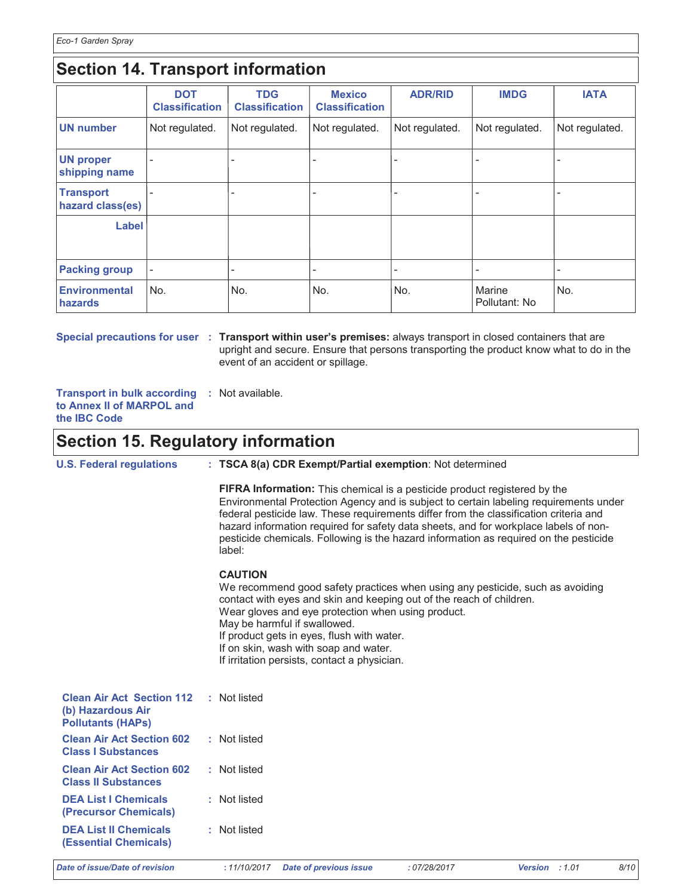## **Section 14. Transport information**

|                                      | <b>DOT</b><br><b>Classification</b> | <b>TDG</b><br><b>Classification</b> | <b>Mexico</b><br><b>Classification</b> | <b>ADR/RID</b> | <b>IMDG</b>             | <b>IATA</b>    |
|--------------------------------------|-------------------------------------|-------------------------------------|----------------------------------------|----------------|-------------------------|----------------|
| <b>UN</b> number                     | Not regulated.                      | Not regulated.                      | Not regulated.                         | Not regulated. | Not regulated.          | Not regulated. |
| <b>UN proper</b><br>shipping name    | $\overline{\phantom{a}}$            |                                     |                                        |                |                         |                |
| <b>Transport</b><br>hazard class(es) | $\overline{\phantom{a}}$            |                                     |                                        |                |                         |                |
| Label                                |                                     |                                     |                                        |                |                         |                |
| <b>Packing group</b>                 | $\overline{\phantom{a}}$            | $\overline{a}$                      | ٠                                      |                | -                       |                |
| <b>Environmental</b><br>hazards      | No.                                 | No.                                 | No.                                    | No.            | Marine<br>Pollutant: No | No.            |

Special precautions for user : Transport within user's premises: always transport in closed containers that are upright and secure. Ensure that persons transporting the product know what to do in the event of an accident or spillage.

Transport in bulk according : Not available. to Annex II of MARPOL and the IBC Code

### **Section 15. Regulatory information**

| <b>U.S. Federal regulations</b>                                                   | : TSCA 8(a) CDR Exempt/Partial exemption: Not determined                                                                                                                                                                                                                                                                                                                                                                                                      |  |  |  |  |
|-----------------------------------------------------------------------------------|---------------------------------------------------------------------------------------------------------------------------------------------------------------------------------------------------------------------------------------------------------------------------------------------------------------------------------------------------------------------------------------------------------------------------------------------------------------|--|--|--|--|
|                                                                                   | <b>FIFRA Information:</b> This chemical is a pesticide product registered by the<br>Environmental Protection Agency and is subject to certain labeling requirements under<br>federal pesticide law. These requirements differ from the classification criteria and<br>hazard information required for safety data sheets, and for workplace labels of non-<br>pesticide chemicals. Following is the hazard information as required on the pesticide<br>label: |  |  |  |  |
|                                                                                   | <b>CAUTION</b><br>We recommend good safety practices when using any pesticide, such as avoiding<br>contact with eyes and skin and keeping out of the reach of children.<br>Wear gloves and eye protection when using product.<br>May be harmful if swallowed.<br>If product gets in eyes, flush with water.<br>If on skin, wash with soap and water.<br>If irritation persists, contact a physician.                                                          |  |  |  |  |
| <b>Clean Air Act Section 112</b><br>(b) Hazardous Air<br><b>Pollutants (HAPs)</b> | : Not listed                                                                                                                                                                                                                                                                                                                                                                                                                                                  |  |  |  |  |
| <b>Clean Air Act Section 602</b><br><b>Class I Substances</b>                     | : Not listed                                                                                                                                                                                                                                                                                                                                                                                                                                                  |  |  |  |  |
| <b>Clean Air Act Section 602</b><br><b>Class II Substances</b>                    | : Not listed                                                                                                                                                                                                                                                                                                                                                                                                                                                  |  |  |  |  |
| <b>DEA List I Chemicals</b><br>(Precursor Chemicals)                              | : Not listed                                                                                                                                                                                                                                                                                                                                                                                                                                                  |  |  |  |  |
| <b>DEA List II Chemicals</b><br><b>(Essential Chemicals)</b>                      | : Not listed                                                                                                                                                                                                                                                                                                                                                                                                                                                  |  |  |  |  |
| Date of issue/Date of revision                                                    | : 11/10/2017<br>8/10<br><b>Date of previous issue</b><br>:07/28/2017<br>Version : 1.01                                                                                                                                                                                                                                                                                                                                                                        |  |  |  |  |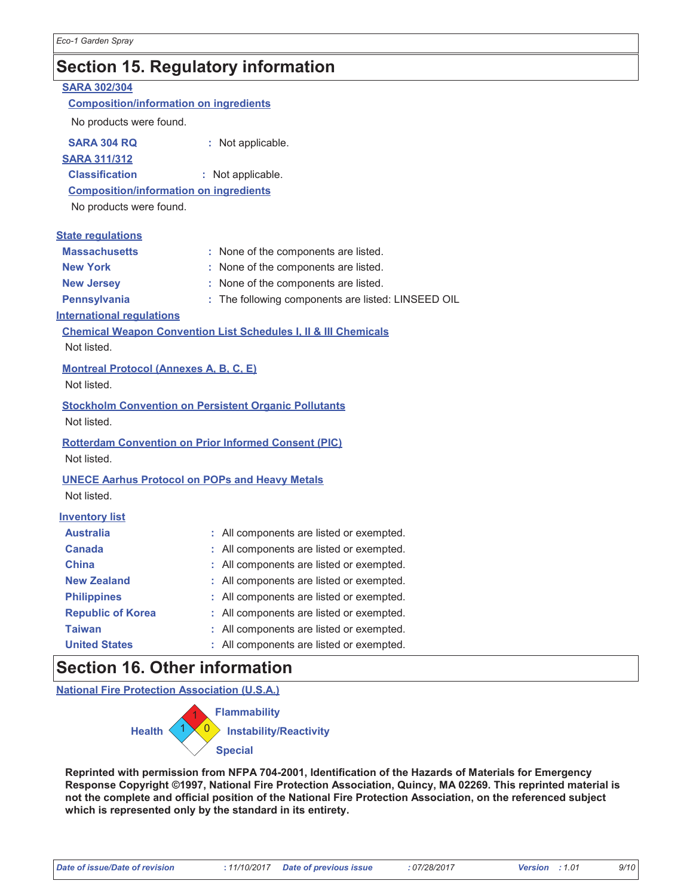CADA 200/204

## **Section 15. Regulatory information**

| <u> ƏARA ƏUZIƏU4</u>                          |                                                                            |
|-----------------------------------------------|----------------------------------------------------------------------------|
| <b>Composition/information on ingredients</b> |                                                                            |
| No products were found.                       |                                                                            |
| <b>SARA 304 RQ</b>                            | : Not applicable.                                                          |
| <b>SARA 311/312</b>                           |                                                                            |
| <b>Classification</b>                         | : Not applicable.                                                          |
| <b>Composition/information on ingredients</b> |                                                                            |
| No products were found.                       |                                                                            |
| <b>State regulations</b>                      |                                                                            |
| <b>Massachusetts</b>                          | : None of the components are listed.                                       |
| <b>New York</b>                               | : None of the components are listed.                                       |
| <b>New Jersey</b>                             | : None of the components are listed.                                       |
| Pennsylvania                                  | : The following components are listed: LINSEED OIL                         |
| <b>International regulations</b>              |                                                                            |
|                                               | <b>Chemical Weapon Convention List Schedules I, II &amp; III Chemicals</b> |
| Not listed.                                   |                                                                            |
| <b>Montreal Protocol (Annexes A, B, C, E)</b> |                                                                            |
| Not listed.                                   |                                                                            |
|                                               | <b>Stockholm Convention on Persistent Organic Pollutants</b>               |
| Not listed.                                   |                                                                            |
|                                               |                                                                            |
|                                               | <b>Rotterdam Convention on Prior Informed Consent (PIC)</b>                |
| Not listed.                                   |                                                                            |
|                                               | <b>UNECE Aarhus Protocol on POPs and Heavy Metals</b>                      |
| Not listed.                                   |                                                                            |
| <b>Inventory list</b>                         |                                                                            |
| <b>Australia</b>                              | : All components are listed or exempted.                                   |
| <b>Canada</b>                                 | : All components are listed or exempted.                                   |
| <b>China</b>                                  | : All components are listed or exempted.                                   |
| <b>New Zealand</b>                            | : All components are listed or exempted.                                   |
| <b>Philippines</b>                            | : All components are listed or exempted.                                   |
| <b>Republic of Korea</b>                      | : All components are listed or exempted.                                   |
| Taiwan                                        | : All components are listed or exempted.                                   |
| <b>United States</b>                          | All components are listed or exempted.                                     |

### **Section 16. Other information**

**National Fire Protection Association (U.S.A.)** 



Reprinted with permission from NFPA 704-2001, Identification of the Hazards of Materials for Emergency Response Copyright ©1997, National Fire Protection Association, Quincy, MA 02269. This reprinted material is not the complete and official position of the National Fire Protection Association, on the referenced subject which is represented only by the standard in its entirety.